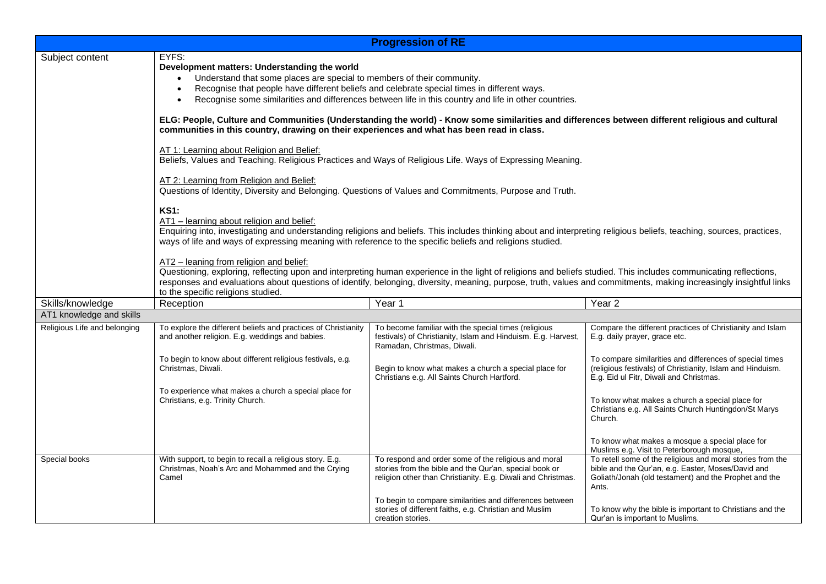| <b>Progression of RE</b>     |                                                                                                                                                                                                                                                                                                                                                                                                                                                                                                                                                                                                                                                                                                                                                                            |                                                                                                                                                                                |                                                                                                                                                                                    |  |  |
|------------------------------|----------------------------------------------------------------------------------------------------------------------------------------------------------------------------------------------------------------------------------------------------------------------------------------------------------------------------------------------------------------------------------------------------------------------------------------------------------------------------------------------------------------------------------------------------------------------------------------------------------------------------------------------------------------------------------------------------------------------------------------------------------------------------|--------------------------------------------------------------------------------------------------------------------------------------------------------------------------------|------------------------------------------------------------------------------------------------------------------------------------------------------------------------------------|--|--|
| Subject content              | EYFS:<br>Development matters: Understanding the world<br>Understand that some places are special to members of their community.<br>Recognise that people have different beliefs and celebrate special times in different ways.<br>Recognise some similarities and differences between life in this country and life in other countries.                                                                                                                                                                                                                                                                                                                                                                                                                                    |                                                                                                                                                                                |                                                                                                                                                                                    |  |  |
|                              | ELG: People, Culture and Communities (Understanding the world) - Know some similarities and differences between different religious and cultural<br>communities in this country, drawing on their experiences and what has been read in class.                                                                                                                                                                                                                                                                                                                                                                                                                                                                                                                             |                                                                                                                                                                                |                                                                                                                                                                                    |  |  |
|                              | AT 1: Learning about Religion and Belief:<br>Beliefs, Values and Teaching. Religious Practices and Ways of Religious Life. Ways of Expressing Meaning.                                                                                                                                                                                                                                                                                                                                                                                                                                                                                                                                                                                                                     |                                                                                                                                                                                |                                                                                                                                                                                    |  |  |
|                              | AT 2: Learning from Religion and Belief:<br>Questions of Identity, Diversity and Belonging. Questions of Values and Commitments, Purpose and Truth.                                                                                                                                                                                                                                                                                                                                                                                                                                                                                                                                                                                                                        |                                                                                                                                                                                |                                                                                                                                                                                    |  |  |
|                              | <b>KS1:</b><br>AT1 - learning about religion and belief:<br>Enquiring into, investigating and understanding religions and beliefs. This includes thinking about and interpreting religious beliefs, teaching, sources, practices,<br>ways of life and ways of expressing meaning with reference to the specific beliefs and religions studied.<br>AT2 - leaning from religion and belief:<br>Questioning, exploring, reflecting upon and interpreting human experience in the light of religions and beliefs studied. This includes communicating reflections,<br>responses and evaluations about questions of identify, belonging, diversity, meaning, purpose, truth, values and commitments, making increasingly insightful links<br>to the specific religions studied. |                                                                                                                                                                                |                                                                                                                                                                                    |  |  |
|                              |                                                                                                                                                                                                                                                                                                                                                                                                                                                                                                                                                                                                                                                                                                                                                                            |                                                                                                                                                                                |                                                                                                                                                                                    |  |  |
| Skills/knowledge             | Reception                                                                                                                                                                                                                                                                                                                                                                                                                                                                                                                                                                                                                                                                                                                                                                  | Year 1                                                                                                                                                                         | Year <sub>2</sub>                                                                                                                                                                  |  |  |
| AT1 knowledge and skills     |                                                                                                                                                                                                                                                                                                                                                                                                                                                                                                                                                                                                                                                                                                                                                                            |                                                                                                                                                                                |                                                                                                                                                                                    |  |  |
| Religious Life and belonging | To explore the different beliefs and practices of Christianity<br>and another religion. E.g. weddings and babies.                                                                                                                                                                                                                                                                                                                                                                                                                                                                                                                                                                                                                                                          | To become familiar with the special times (religious<br>festivals) of Christianity, Islam and Hinduism. E.g. Harvest,<br>Ramadan, Christmas, Diwali.                           | Compare the different practices of Christianity and Islam<br>E.g. daily prayer, grace etc.                                                                                         |  |  |
|                              | To begin to know about different religious festivals, e.g.<br>Christmas, Diwali.                                                                                                                                                                                                                                                                                                                                                                                                                                                                                                                                                                                                                                                                                           | Begin to know what makes a church a special place for<br>Christians e.g. All Saints Church Hartford.                                                                           | To compare similarities and differences of special times<br>(religious festivals) of Christianity, Islam and Hinduism.<br>E.g. Eid ul Fitr, Diwali and Christmas.                  |  |  |
|                              | To experience what makes a church a special place for<br>Christians, e.g. Trinity Church.                                                                                                                                                                                                                                                                                                                                                                                                                                                                                                                                                                                                                                                                                  |                                                                                                                                                                                | To know what makes a church a special place for<br>Christians e.g. All Saints Church Huntingdon/St Marys<br>Church.                                                                |  |  |
|                              |                                                                                                                                                                                                                                                                                                                                                                                                                                                                                                                                                                                                                                                                                                                                                                            |                                                                                                                                                                                | To know what makes a mosque a special place for<br>Muslims e.g. Visit to Peterborough mosque,                                                                                      |  |  |
| Special books                | With support, to begin to recall a religious story. E.g.<br>Christmas, Noah's Arc and Mohammed and the Crying<br>Camel                                                                                                                                                                                                                                                                                                                                                                                                                                                                                                                                                                                                                                                     | To respond and order some of the religious and moral<br>stories from the bible and the Qur'an, special book or<br>religion other than Christianity. E.g. Diwali and Christmas. | To retell some of the religious and moral stories from the<br>bible and the Qur'an, e.g. Easter, Moses/David and<br>Goliath/Jonah (old testament) and the Prophet and the<br>Ants. |  |  |
|                              |                                                                                                                                                                                                                                                                                                                                                                                                                                                                                                                                                                                                                                                                                                                                                                            | To begin to compare similarities and differences between<br>stories of different faiths, e.g. Christian and Muslim<br>creation stories.                                        | To know why the bible is important to Christians and the<br>Qur'an is important to Muslims.                                                                                        |  |  |